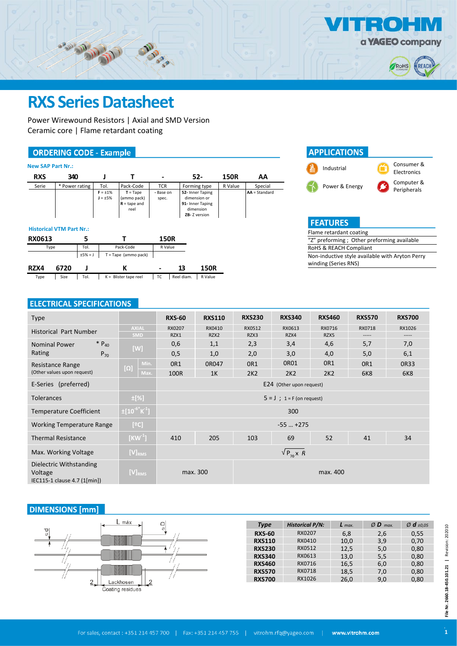

 $\overline{a}$ 

## **RXS Series Datasheet**

CONTROL MONEY

Power Wirewound Resistors | Axial and SMD Version Ceramic core | Flame retardant coating

## **ORDERING CODE - Example**

| <b>New SAP Part Nr.:</b>        |                |           |                               |                                                     |                    |            |                                                                                   |             |                 |
|---------------------------------|----------------|-----------|-------------------------------|-----------------------------------------------------|--------------------|------------|-----------------------------------------------------------------------------------|-------------|-----------------|
| <b>RXS</b>                      | 340            |           | J                             | т                                                   |                    |            | $52 -$                                                                            | <b>150R</b> | AA              |
| Serie                           | * Power rating |           | Tol.                          | Pack-Code                                           | <b>TCR</b>         |            | Forming type                                                                      | R Value     | Special         |
|                                 |                |           | $F = \pm 1\%$<br>$J = \pm 5%$ | $T = Tape$<br>(ammo pack)<br>$R =$ tape and<br>reel | - Base on<br>spec. |            | 52- Inner Taping<br>dimension or<br>91- Inner Taping<br>dimension<br>ZB-Z version |             | $AA = Standard$ |
| <b>Historical VTM Part Nr.:</b> |                |           |                               |                                                     |                    |            |                                                                                   |             |                 |
| <b>RX0613</b>                   |                | 5         |                               |                                                     | <b>150R</b>        |            |                                                                                   |             |                 |
| Type                            |                | Tol.      |                               | Pack-Code                                           | R Value            |            |                                                                                   |             |                 |
|                                 |                | $±5% = J$ |                               | $T = Tape (ammo pack)$                              |                    |            |                                                                                   |             |                 |
| RZX4                            | 6720           |           |                               | K                                                   |                    | 13         | <b>150R</b>                                                                       |             |                 |
| Type                            | Size           | Tol.      |                               | $K =$ Blister tape reel                             | тc                 | Reel diam. | R Value                                                                           |             |                 |

**MARY** 

## **APPLICATIONS** Industrial Consumer & Electronics Power & Energy Computer & Peripherals

| <b>FEATURES</b>         |                                                 |
|-------------------------|-------------------------------------------------|
| Flame retardant coating |                                                 |
|                         | "Z" preforming ; Other preforming available     |
| RoHS & REACH Compliant  |                                                 |
|                         | Non-inductive style available with Aryton Perry |
| winding (Series RNS)    |                                                 |

### **ELECTRICAL SPECIFICATIONS**

| <b>Type</b>                                                        |                                  | <b>RXS-60</b>                  | <b>RXS110</b> | <b>RXS230</b> | <b>RXS340</b> | <b>RXS460</b>   | <b>RXS570</b>   | <b>RXS700</b>      |  |
|--------------------------------------------------------------------|----------------------------------|--------------------------------|---------------|---------------|---------------|-----------------|-----------------|--------------------|--|
| Historical Part Number                                             | <b>AXIAL</b>                     | RX0207                         | RX0410        | RX0512        | RX0613        | RX0716          | RX0718          | RX1026             |  |
| $* P_{40}$<br><b>Nominal Power</b>                                 | <b>SMD</b>                       | RZX1<br>0,6                    | RZX2<br>1,1   | RZX3<br>2,3   | RZX4<br>3,4   | RZX5<br>4,6     | -----<br>5,7    | $- - - - -$<br>7,0 |  |
| Rating<br>$P_{70}$                                                 | [W]                              | 0,5                            | 1,0           | 2,0           | 3,0           | 4,0             | 5,0             | 6,1                |  |
| Resistance Range                                                   | Min.                             | OR1                            | 0R047         | OR1           | 0R01          | OR <sub>1</sub> | OR <sub>1</sub> | 0R33               |  |
| (Other values upon request)                                        | $[\Omega]$<br>Max.               | 100R                           | 1K            | 2K2           | 2K2           | 2K2             | <b>6K8</b>      | <b>6K8</b>         |  |
| E-Series (preferred)                                               |                                  | E24 (Other upon request)       |               |               |               |                 |                 |                    |  |
| <b>Tolerances</b>                                                  | ±[%]                             | $5 = J$ ; $1 = F$ (on request) |               |               |               |                 |                 |                    |  |
| <b>Temperature Coefficient</b>                                     | $\pm [10^{-6}$ K <sup>-1</sup> ] |                                |               |               | 300           |                 |                 |                    |  |
| <b>Working Temperature Range</b>                                   | [°C]                             |                                |               |               | $-55+275$     |                 |                 |                    |  |
| <b>Thermal Resistance</b>                                          | [KW $^{-1}$ ]                    | 410                            | 205           | 103           | 69            | 52              | 41              | 34                 |  |
| Max. Working Voltage                                               | $[V]_{RMS}$                      | $\sqrt{P_{70}X}$ R             |               |               |               |                 |                 |                    |  |
| Dielectric Withstanding<br>Voltage<br>IEC115-1 clause 4.7 (1[min]) | $[V]_{RMS}$                      | max. 300                       |               |               |               |                 |                 |                    |  |

### **DIMENSIONS** [mm]



| <b>Type</b>   | <b>Historical P/N:</b> | $L$ max. | $Ø$ <b>D</b> max. | Ø $d_{\pm 0.05}$ |
|---------------|------------------------|----------|-------------------|------------------|
| <b>RXS-60</b> | RX0207                 | 6.8      | 2.6               | 0.55             |
| <b>RXS110</b> | RX0410                 | 10.0     | 3.9               | 0.70             |
| <b>RXS230</b> | RX0512                 | 12.5     | 5,0               | 0.80             |
| <b>RXS340</b> | RX0613                 | 13.0     | 5,5               | 0.80             |
| <b>RXS460</b> | RX0716                 | 16.5     | 6.0               | 0.80             |
| <b>RXS570</b> | RX0718                 | 18.5     | 7.0               | 0.80             |
| <b>RXS700</b> | RX1026                 | 26.0     | 9.0               | 0.80             |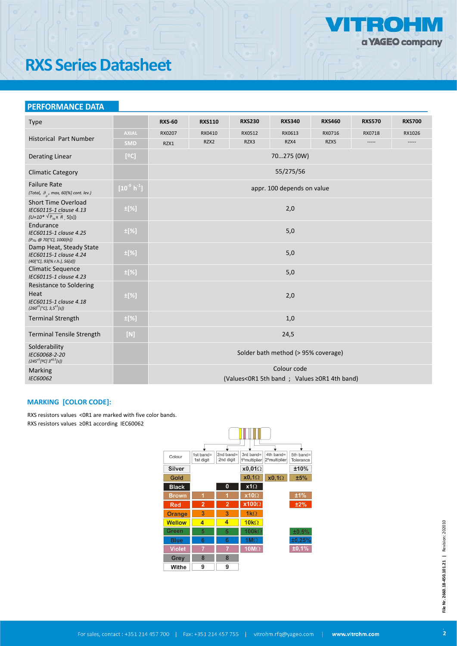

## **RXS Series Datasheet**

## **PERFORMANCE DATA**

| <b>Type</b>                                                                                       |              | <b>RXS-60</b>                       | <b>RXS110</b> | <b>RXS230</b>                                | <b>RXS340</b>              | <b>RXS460</b> | <b>RXS570</b> | <b>RXS700</b> |  |
|---------------------------------------------------------------------------------------------------|--------------|-------------------------------------|---------------|----------------------------------------------|----------------------------|---------------|---------------|---------------|--|
|                                                                                                   | <b>AXIAL</b> | RX0207                              | RX0410        | RX0512                                       | RX0613                     | RX0716        | RX0718        | RX1026        |  |
| <b>Historical Part Number</b>                                                                     | <b>SMD</b>   | RZX1                                | RZX2          | RZX3                                         | RZX4                       | RZX5          | -----         | -----         |  |
| <b>Derating Linear</b>                                                                            | [°C]         |                                     |               |                                              | 70275 (0W)                 |               |               |               |  |
| <b>Climatic Category</b>                                                                          |              |                                     |               |                                              | 55/275/56                  |               |               |               |  |
| <b>Failure Rate</b><br>(Total, $\theta$ <sub>o</sub> , max, 60[%] cont. lev.)                     | $[10^9 h^1]$ |                                     |               |                                              | appr. 100 depends on value |               |               |               |  |
| <b>Short Time Overload</b><br>IEC60115-1 clause 4.13<br>$(U=10^* \sqrt{P_{70} \times R}$ , 5[s])  | ±[%]         |                                     |               |                                              | 2,0                        |               |               |               |  |
| Endurance<br>IEC60115-1 clause 4.25<br>(P <sub>70</sub> , @ 70[°C], 1000[h])                      | $\pm$ [%]    |                                     |               |                                              | 5,0                        |               |               |               |  |
| Damp Heat, Steady State<br>IEC60115-1 clause 4.24<br>$(40[^{\circ}C], 93[% r.h.], 56[d])$         | $\pm$ [%]    |                                     |               |                                              | 5,0                        |               |               |               |  |
| <b>Climatic Sequence</b><br>IEC60115-1 clause 4.23                                                | $\pm$ [%]    |                                     |               |                                              | 5,0                        |               |               |               |  |
| Resistance to Soldering<br>Heat<br>IEC60115-1 clause 4.18<br>$(260^{+5}[^{\circ}C], 3,5^{+1}[s])$ | ±[%]         |                                     |               |                                              | 2,0                        |               |               |               |  |
| <b>Terminal Strength</b>                                                                          | $\pm$ [%]    |                                     |               |                                              | 1,0                        |               |               |               |  |
| <b>Terminal Tensile Strength</b>                                                                  | $[N]$        | 24,5                                |               |                                              |                            |               |               |               |  |
| Solderability<br>IEC60068-2-20<br>$(245^{\pm 5}$ [2C] $3^{\pm 0.5}$ [s])                          |              | Solder bath method (> 95% coverage) |               |                                              |                            |               |               |               |  |
| Marking<br>IEC60062                                                                               |              |                                     |               | (Values<0R1 5th band ; Values ≥0R1 4th band) | Colour code                |               |               |               |  |

#### **MARKING [COLOR CODE]:**

RXS resistors values <0R1 are marked with five color bands. RXS resistors values ≥0R1 according IEC60062

| Colour        | 1st band=<br>1st digit | 2nd band=<br>2nd digit | 3rd band=<br>1 <sup>o</sup> multiplier | 4th band=<br>2 <sup>o</sup> multiplier | 5th band=<br>Tolerance |
|---------------|------------------------|------------------------|----------------------------------------|----------------------------------------|------------------------|
| Silver        |                        |                        | $x0,01\Omega$                          |                                        | ±10%                   |
| Gold          |                        |                        | $x0,1\Omega$                           | $x0,1\Omega$                           | ±5%                    |
| <b>Black</b>  |                        | 0                      | $x1\Omega$                             |                                        |                        |
| <b>Brown</b>  | 1                      | 1                      | $x10\Omega$                            |                                        | ±1%                    |
| <b>Red</b>    | $\overline{2}$         | $\overline{2}$         | $x100\Omega$                           |                                        | ±2%                    |
| <b>Orange</b> | 3                      | 3                      | $1k\Omega$                             |                                        |                        |
| <b>Wellow</b> | 4                      | 4                      | $10k\Omega$                            |                                        |                        |
| Green         | 5                      | 5                      | $100k\Omega$                           |                                        | ±0,5%                  |
| <b>Blue</b>   | 6                      | 6                      | 1 $M\Omega$                            |                                        | ±0,25%                 |
| <b>Violet</b> |                        |                        | $10M\Omega$                            |                                        | ±0,1%                  |
| Grey          | 8                      | 8                      |                                        |                                        |                        |
| Withe         | 9                      | 9                      |                                        |                                        |                        |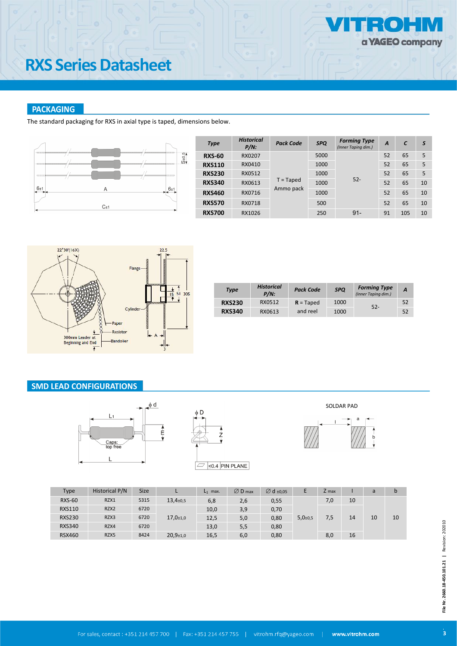# **RXS Series Datasheet**

## **PACKAGING**

The standard packaging for RXS in axial type is taped, dimensions below.



| <b>Type</b>   | <b>Historical</b><br>$P/N$ : | <b>Pack Code</b>         | <b>SPQ</b> | <b>Forming Type</b><br>(Inner Taping dim.) | A  | C   | S  |
|---------------|------------------------------|--------------------------|------------|--------------------------------------------|----|-----|----|
| <b>RXS-60</b> | RX0207                       |                          | 5000       |                                            | 52 | 65  | 5  |
| <b>RXS110</b> | RX0410                       | $T = Taped$<br>Ammo pack | 1000       | $52 -$                                     | 52 | 65  | 5  |
| <b>RXS230</b> | RX0512                       |                          | 1000       |                                            | 52 | 65  | 5  |
| <b>RXS340</b> | RX0613                       |                          | 1000       |                                            | 52 | 65  | 10 |
| <b>RXS460</b> | RX0716                       |                          | 1000       |                                            | 52 | 65  | 10 |
| <b>RXS570</b> | RX0718                       |                          | 500        |                                            | 52 | 65  | 10 |
| <b>RXS700</b> | RX1026                       |                          | 250        | $91 -$                                     | 91 | 105 | 10 |



|                                             | <b>Type</b>   | <b>Historical</b><br>$P/N$ : | <b>Pack Code</b> | <b>SPQ</b> | <b>Forming Type</b><br>(Inner Taping dim.) | $\boldsymbol{A}$ |
|---------------------------------------------|---------------|------------------------------|------------------|------------|--------------------------------------------|------------------|
| $52 -$                                      | <b>RXS230</b> | RX0512                       | $R = Taped$      | 1000       |                                            | 52               |
| <b>RXS340</b><br>and reel<br>RX0613<br>1000 |               |                              |                  |            |                                            | 52               |

## **SMD LEAD CONFIGURATIONS**





SOLDAR PADa

| Type          | Historical P/N   | <b>Size</b> |                             | $L_1$ max. | $\varnothing$ D max | $\varnothing$ d ±0,05 | E                          | Z max |    | a  | b  |
|---------------|------------------|-------------|-----------------------------|------------|---------------------|-----------------------|----------------------------|-------|----|----|----|
| <b>RXS-60</b> | RZX1             | 5315        | $13,4{\scriptstyle \pm0,5}$ | 6,8        | 2,6                 | 0,55                  |                            | 7,0   | 10 |    |    |
| <b>RXS110</b> | RZX <sub>2</sub> | 6720        |                             | 10,0       | 3,9                 | 0,70                  |                            |       |    |    |    |
| <b>RXS230</b> | RZX3             | 6720        | $17,0+1,0$                  | 12,5       | 5,0                 | 0,80                  | $5,0{\scriptstyle \pm}0,5$ | 7,5   | 14 | 10 | 10 |
| <b>RXS340</b> | RZX4             | 6720        |                             | 13,0       | 5,5                 | 0,80                  |                            |       |    |    |    |
| <b>RSX460</b> | RZX5             | 8424        | $20,9{\scriptstyle \pm1,0}$ | 16,5       | 6,0                 | 0,80                  |                            | 8,0   | 16 |    |    |